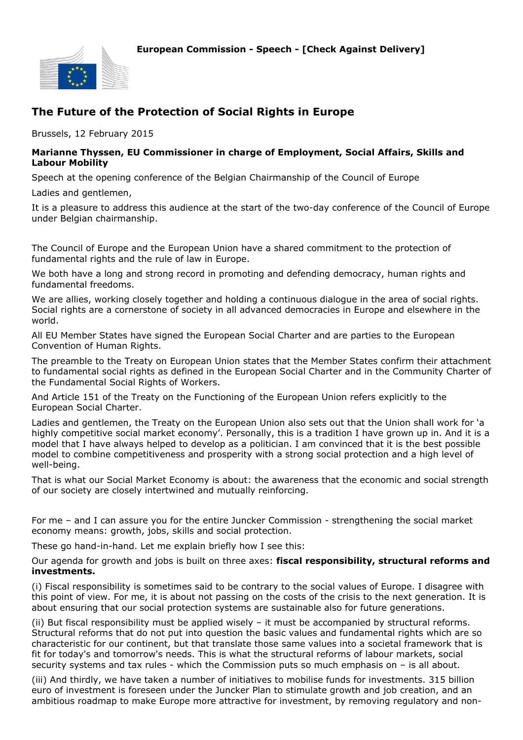

## **The Future of the Protection of Social Rights in Europe**

Brussels, 12 February 2015

## **Marianne Thyssen, EU Commissioner in charge of Employment, Social Affairs, Skills and Labour Mobility**

Speech at the opening conference of the Belgian Chairmanship of the Council of Europe

Ladies and gentlemen,

It is a pleasure to address this audience at the start of the two-day conference of the Council of Europe under Belgian chairmanship.

The Council of Europe and the European Union have a shared commitment to the protection of fundamental rights and the rule of law in Europe.

We both have a long and strong record in promoting and defending democracy, human rights and fundamental freedoms.

We are allies, working closely together and holding a continuous dialogue in the area of social rights. Social rights are a cornerstone of society in all advanced democracies in Europe and elsewhere in the world.

All EU Member States have signed the European Social Charter and are parties to the European Convention of Human Rights.

The preamble to the Treaty on European Union states that the Member States confirm their attachment to fundamental social rights as defined in the European Social Charter and in the Community Charter of the Fundamental Social Rights of Workers.

And Article 151 of the Treaty on the Functioning of the European Union refers explicitly to the European Social Charter.

Ladies and gentlemen, the Treaty on the European Union also sets out that the Union shall work for 'a highly competitive social market economy'. Personally, this is a tradition I have grown up in. And it is a model that I have always helped to develop as a politician. I am convinced that it is the best possible model to combine competitiveness and prosperity with a strong social protection and a high level of well-being.

That is what our Social Market Economy is about: the awareness that the economic and social strength of our society are closely intertwined and mutually reinforcing.

For me – and I can assure you for the entire Juncker Commission - strengthening the social market economy means: growth, jobs, skills and social protection.

These go hand-in-hand. Let me explain briefly how I see this:

Our agenda for growth and jobs is built on three axes: **fiscal responsibility, structural reforms and investments.**

(i) Fiscal responsibility is sometimes said to be contrary to the social values of Europe. I disagree with this point of view. For me, it is about not passing on the costs of the crisis to the next generation. It is about ensuring that our social protection systems are sustainable also for future generations.

(ii) But fiscal responsibility must be applied wisely – it must be accompanied by structural reforms. Structural reforms that do not put into question the basic values and fundamental rights which are so characteristic for our continent, but that translate those same values into a societal framework that is fit for today's and tomorrow's needs. This is what the structural reforms of labour markets, social security systems and tax rules - which the Commission puts so much emphasis on – is all about.

(iii) And thirdly, we have taken a number of initiatives to mobilise funds for investments. 315 billion euro of investment is foreseen under the Juncker Plan to stimulate growth and job creation, and an ambitious roadmap to make Europe more attractive for investment, by removing regulatory and non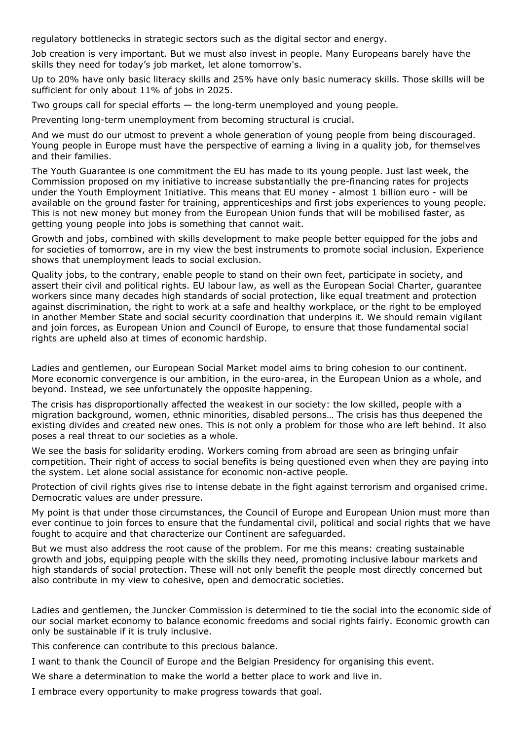regulatory bottlenecks in strategic sectors such as the digital sector and energy.

Job creation is very important. But we must also invest in people. Many Europeans barely have the skills they need for today's job market, let alone tomorrow's.

Up to 20% have only basic literacy skills and 25% have only basic numeracy skills. Those skills will be sufficient for only about 11% of jobs in 2025.

Two groups call for special efforts — the long-term unemployed and young people.

Preventing long-term unemployment from becoming structural is crucial.

And we must do our utmost to prevent a whole generation of young people from being discouraged. Young people in Europe must have the perspective of earning a living in a quality job, for themselves and their families.

The Youth Guarantee is one commitment the EU has made to its young people. Just last week, the Commission proposed on my initiative to increase substantially the pre-financing rates for projects under the Youth Employment Initiative. This means that EU money - almost 1 billion euro - will be available on the ground faster for training, apprenticeships and first jobs experiences to young people. This is not new money but money from the European Union funds that will be mobilised faster, as getting young people into jobs is something that cannot wait.

Growth and jobs, combined with skills development to make people better equipped for the jobs and for societies of tomorrow, are in my view the best instruments to promote social inclusion. Experience shows that unemployment leads to social exclusion.

Quality jobs, to the contrary, enable people to stand on their own feet, participate in society, and assert their civil and political rights. EU labour law, as well as the European Social Charter, guarantee workers since many decades high standards of social protection, like equal treatment and protection against discrimination, the right to work at a safe and healthy workplace, or the right to be employed in another Member State and social security coordination that underpins it. We should remain vigilant and join forces, as European Union and Council of Europe, to ensure that those fundamental social rights are upheld also at times of economic hardship.

Ladies and gentlemen, our European Social Market model aims to bring cohesion to our continent. More economic convergence is our ambition, in the euro-area, in the European Union as a whole, and beyond. Instead, we see unfortunately the opposite happening.

The crisis has disproportionally affected the weakest in our society: the low skilled, people with a migration background, women, ethnic minorities, disabled persons… The crisis has thus deepened the existing divides and created new ones. This is not only a problem for those who are left behind. It also poses a real threat to our societies as a whole.

We see the basis for solidarity eroding. Workers coming from abroad are seen as bringing unfair competition. Their right of access to social benefits is being questioned even when they are paying into the system. Let alone social assistance for economic non-active people.

Protection of civil rights gives rise to intense debate in the fight against terrorism and organised crime. Democratic values are under pressure.

My point is that under those circumstances, the Council of Europe and European Union must more than ever continue to join forces to ensure that the fundamental civil, political and social rights that we have fought to acquire and that characterize our Continent are safeguarded.

But we must also address the root cause of the problem. For me this means: creating sustainable growth and jobs, equipping people with the skills they need, promoting inclusive labour markets and high standards of social protection. These will not only benefit the people most directly concerned but also contribute in my view to cohesive, open and democratic societies.

Ladies and gentlemen, the Juncker Commission is determined to tie the social into the economic side of our social market economy to balance economic freedoms and social rights fairly. Economic growth can only be sustainable if it is truly inclusive.

This conference can contribute to this precious balance.

I want to thank the Council of Europe and the Belgian Presidency for organising this event.

We share a determination to make the world a better place to work and live in.

I embrace every opportunity to make progress towards that goal.